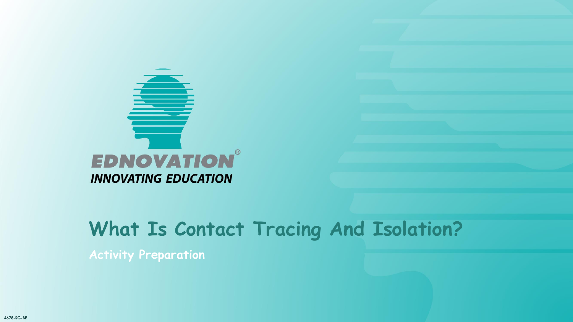

**Activity Preparation**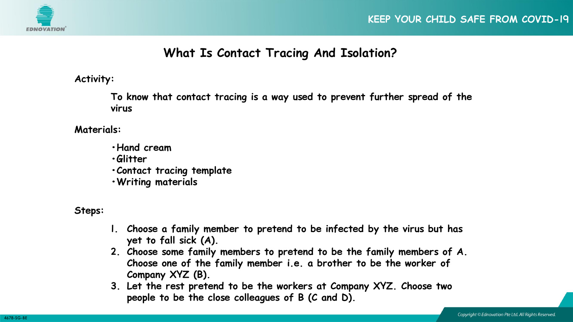

#### **Activity:**

**To know that contact tracing is a way used to prevent further spread of the virus** 

**Materials:**

- **•Hand cream**
- **•Glitter**
- **•Contact tracing template**
- **•Writing materials**

**Steps:**

- **1. Choose a family member to pretend to be infected by the virus but has yet to fall sick (A).**
- **2. Choose some family members to pretend to be the family members of A. Choose one of the family member i.e. a brother to be the worker of Company XYZ (B).**
- **3. Let the rest pretend to be the workers at Company XYZ. Choose two people to be the close colleagues of B (C and D).**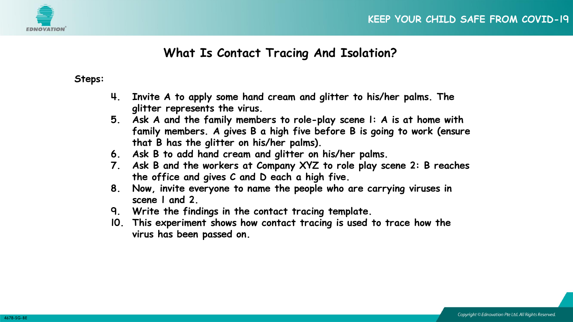

**Steps:**

- **4. Invite A to apply some hand cream and glitter to his/her palms. The glitter represents the virus.**
- **5. Ask A and the family members to role-play scene 1: A is at home with family members. A gives B a high five before B is going to work (ensure that B has the glitter on his/her palms).**
- **6. Ask B to add hand cream and glitter on his/her palms.**
- **7. Ask B and the workers at Company XYZ to role play scene 2: B reaches the office and gives C and D each a high five.**
- **8. Now, invite everyone to name the people who are carrying viruses in scene 1 and 2.**
- **9. Write the findings in the contact tracing template.**
- **10. This experiment shows how contact tracing is used to trace how the virus has been passed on.**